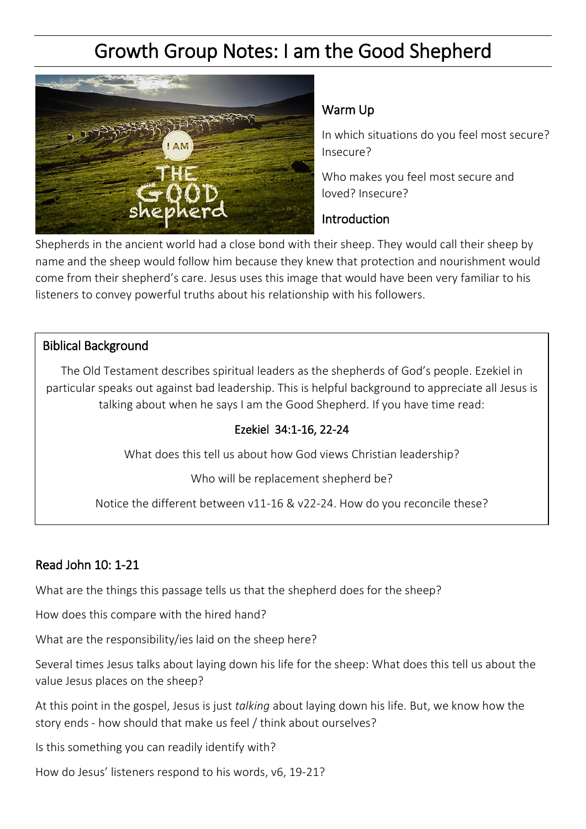# Growth Group Notes: I am the Good Shepherd



### Warm Up

In which situations do you feel most secure? Insecure?

Who makes you feel most secure and loved? Insecure?

#### Introduction

Shepherds in the ancient world had a close bond with their sheep. They would call their sheep by name and the sheep would follow him because they knew that protection and nourishment would come from their shepherd's care. Jesus uses this image that would have been very familiar to his listeners to convey powerful truths about his relationship with his followers.

### Biblical Background

The Old Testament describes spiritual leaders as the shepherds of God's people. Ezekiel in particular speaks out against bad leadership. This is helpful background to appreciate all Jesus is talking about when he says I am the Good Shepherd. If you have time read:

## Ezekiel 34:1-16, 22-24

What does this tell us about how God views Christian leadership?

Who will be replacement shepherd be?

Notice the different between v11-16 & v22-24. How do you reconcile these?

# Read John 10: 1-21

What are the things this passage tells us that the shepherd does for the sheep?

How does this compare with the hired hand?

What are the responsibility/ies laid on the sheep here?

Several times Jesus talks about laying down his life for the sheep: What does this tell us about the value Jesus places on the sheep?

At this point in the gospel, Jesus is just *talking* about laying down his life. But, we know how the story ends - how should that make us feel / think about ourselves?

Is this something you can readily identify with?

How do Jesus' listeners respond to his words, v6, 19-21?